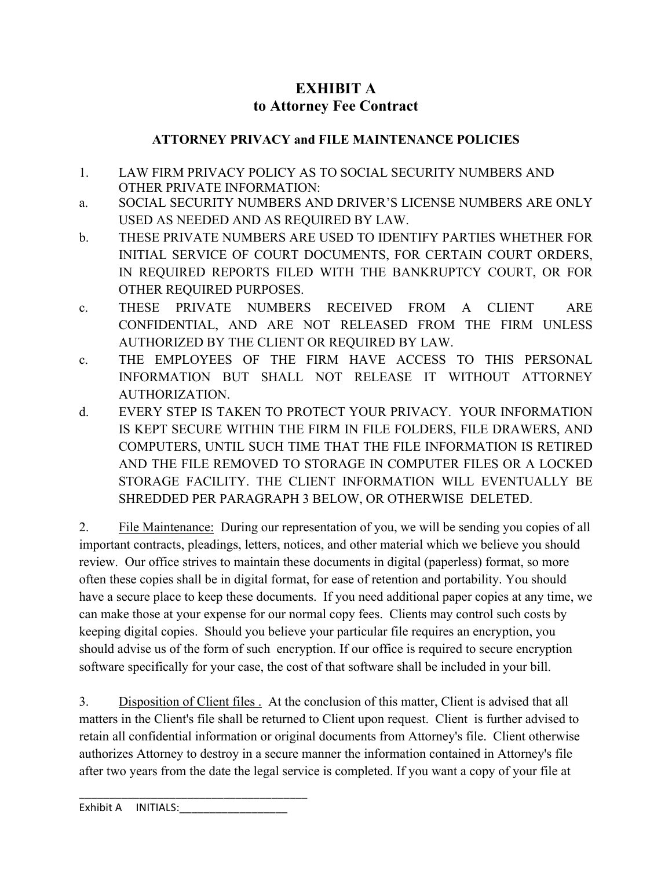## **EXHIBIT A to Attorney Fee Contract**

## **ATTORNEY PRIVACY and FILE MAINTENANCE POLICIES**

- 1. LAW FIRM PRIVACY POLICY AS TO SOCIAL SECURITY NUMBERS AND OTHER PRIVATE INFORMATION:
- a. SOCIAL SECURITY NUMBERS AND DRIVER'S LICENSE NUMBERS ARE ONLY USED AS NEEDED AND AS REQUIRED BY LAW.
- b. THESE PRIVATE NUMBERS ARE USED TO IDENTIFY PARTIES WHETHER FOR INITIAL SERVICE OF COURT DOCUMENTS, FOR CERTAIN COURT ORDERS, IN REQUIRED REPORTS FILED WITH THE BANKRUPTCY COURT, OR FOR OTHER REQUIRED PURPOSES.
- c. THESE PRIVATE NUMBERS RECEIVED FROM A CLIENT ARE CONFIDENTIAL, AND ARE NOT RELEASED FROM THE FIRM UNLESS AUTHORIZED BY THE CLIENT OR REQUIRED BY LAW.
- c. THE EMPLOYEES OF THE FIRM HAVE ACCESS TO THIS PERSONAL INFORMATION BUT SHALL NOT RELEASE IT WITHOUT ATTORNEY AUTHORIZATION.
- d. EVERY STEP IS TAKEN TO PROTECT YOUR PRIVACY. YOUR INFORMATION IS KEPT SECURE WITHIN THE FIRM IN FILE FOLDERS, FILE DRAWERS, AND COMPUTERS, UNTIL SUCH TIME THAT THE FILE INFORMATION IS RETIRED AND THE FILE REMOVED TO STORAGE IN COMPUTER FILES OR A LOCKED STORAGE FACILITY. THE CLIENT INFORMATION WILL EVENTUALLY BE SHREDDED PER PARAGRAPH 3 BELOW, OR OTHERWISE DELETED.

2. File Maintenance: During our representation of you, we will be sending you copies of all important contracts, pleadings, letters, notices, and other material which we believe you should review. Our office strives to maintain these documents in digital (paperless) format, so more often these copies shall be in digital format, for ease of retention and portability. You should have a secure place to keep these documents. If you need additional paper copies at any time, we can make those at your expense for our normal copy fees. Clients may control such costs by keeping digital copies. Should you believe your particular file requires an encryption, you should advise us of the form of such encryption. If our office is required to secure encryption software specifically for your case, the cost of that software shall be included in your bill.

3. Disposition of Client files . At the conclusion of this matter, Client is advised that all matters in the Client's file shall be returned to Client upon request. Client is further advised to retain all confidential information or original documents from Attorney's file. Client otherwise authorizes Attorney to destroy in a secure manner the information contained in Attorney's file after two years from the date the legal service is completed. If you want a copy of your file at

Exhibit A INITIALS:

\_\_\_\_\_\_\_\_\_\_\_\_\_\_\_\_\_\_\_\_\_\_\_\_\_\_\_\_\_\_\_\_\_\_\_\_\_\_